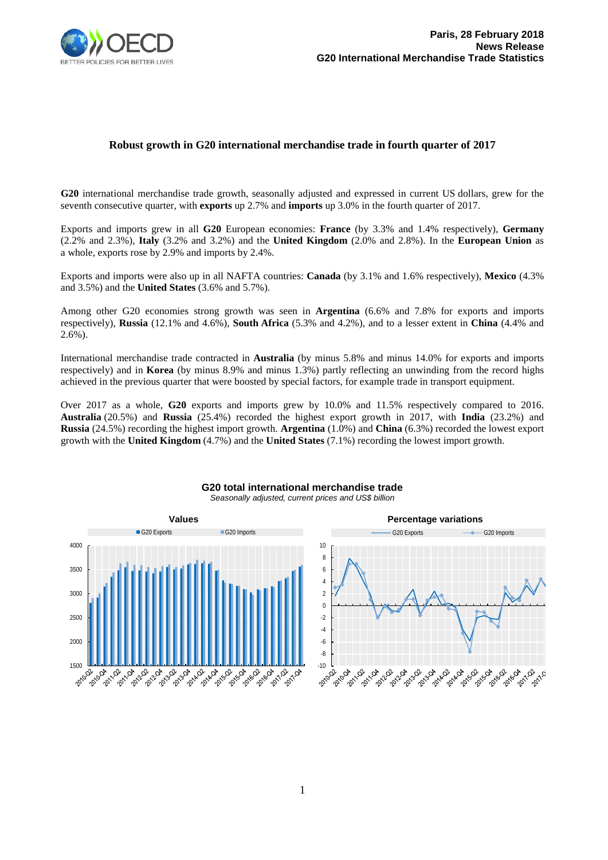

## **Robust growth in G20 international merchandise trade in fourth quarter of 2017**

**G20** international merchandise trade growth, seasonally adjusted and expressed in current US dollars, grew for the seventh consecutive quarter, with **exports** up 2.7% and **imports** up 3.0% in the fourth quarter of 2017.

Exports and imports grew in all **G20** European economies: **France** (by 3.3% and 1.4% respectively), **Germany** (2.2% and 2.3%), **Italy** (3.2% and 3.2%) and the **United Kingdom** (2.0% and 2.8%). In the **European Union** as a whole, exports rose by 2.9% and imports by 2.4%.

Exports and imports were also up in all NAFTA countries: **Canada** (by 3.1% and 1.6% respectively), **Mexico** (4.3% and 3.5%) and the **United States** (3.6% and 5.7%).

Among other G20 economies strong growth was seen in **Argentina** (6.6% and 7.8% for exports and imports respectively), **Russia** (12.1% and 4.6%), **South Africa** (5.3% and 4.2%), and to a lesser extent in **China** (4.4% and 2.6%).

International merchandise trade contracted in **Australia** (by minus 5.8% and minus 14.0% for exports and imports respectively) and in **Korea** (by minus 8.9% and minus 1.3%) partly reflecting an unwinding from the record highs achieved in the previous quarter that were boosted by special factors, for example trade in transport equipment.

Over 2017 as a whole, **G20** exports and imports grew by 10.0% and 11.5% respectively compared to 2016. **Australia** (20.5%) and **Russia** (25.4%) recorded the highest export growth in 2017, with **India** (23.2%) and **Russia** (24.5%) recording the highest import growth. **Argentina** (1.0%) and **China** (6.3%) recorded the lowest export growth with the **United Kingdom** (4.7%) and the **United States** (7.1%) recording the lowest import growth.



## **G20 total international merchandise trade** *Seasonally adjusted, current prices and US\$ billion*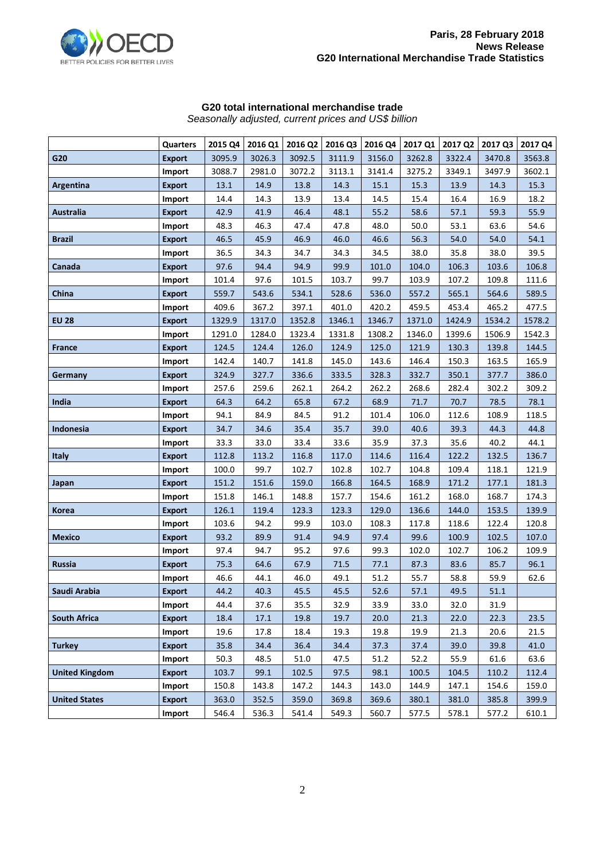

## **G20 total international merchandise trade**

*Seasonally adjusted, current prices and US\$ billion*

|                       | <b>Quarters</b> | 2015 Q4 | 2016 Q1 | 2016 Q2 | 2016 Q3 | 2016 Q4 | 2017 Q1 | 2017 Q2 | 2017 Q3 | 2017 Q4 |
|-----------------------|-----------------|---------|---------|---------|---------|---------|---------|---------|---------|---------|
| G20                   | <b>Export</b>   | 3095.9  | 3026.3  | 3092.5  | 3111.9  | 3156.0  | 3262.8  | 3322.4  | 3470.8  | 3563.8  |
|                       | Import          | 3088.7  | 2981.0  | 3072.2  | 3113.1  | 3141.4  | 3275.2  | 3349.1  | 3497.9  | 3602.1  |
| Argentina             | <b>Export</b>   | 13.1    | 14.9    | 13.8    | 14.3    | 15.1    | 15.3    | 13.9    | 14.3    | 15.3    |
|                       | Import          | 14.4    | 14.3    | 13.9    | 13.4    | 14.5    | 15.4    | 16.4    | 16.9    | 18.2    |
| <b>Australia</b>      | <b>Export</b>   | 42.9    | 41.9    | 46.4    | 48.1    | 55.2    | 58.6    | 57.1    | 59.3    | 55.9    |
|                       | Import          | 48.3    | 46.3    | 47.4    | 47.8    | 48.0    | 50.0    | 53.1    | 63.6    | 54.6    |
| <b>Brazil</b>         | <b>Export</b>   | 46.5    | 45.9    | 46.9    | 46.0    | 46.6    | 56.3    | 54.0    | 54.0    | 54.1    |
|                       | Import          | 36.5    | 34.3    | 34.7    | 34.3    | 34.5    | 38.0    | 35.8    | 38.0    | 39.5    |
| Canada                | <b>Export</b>   | 97.6    | 94.4    | 94.9    | 99.9    | 101.0   | 104.0   | 106.3   | 103.6   | 106.8   |
|                       | Import          | 101.4   | 97.6    | 101.5   | 103.7   | 99.7    | 103.9   | 107.2   | 109.8   | 111.6   |
| China                 | <b>Export</b>   | 559.7   | 543.6   | 534.1   | 528.6   | 536.0   | 557.2   | 565.1   | 564.6   | 589.5   |
|                       | Import          | 409.6   | 367.2   | 397.1   | 401.0   | 420.2   | 459.5   | 453.4   | 465.2   | 477.5   |
| <b>EU 28</b>          | <b>Export</b>   | 1329.9  | 1317.0  | 1352.8  | 1346.1  | 1346.7  | 1371.0  | 1424.9  | 1534.2  | 1578.2  |
|                       | Import          | 1291.0  | 1284.0  | 1323.4  | 1331.8  | 1308.2  | 1346.0  | 1399.6  | 1506.9  | 1542.3  |
| France                | <b>Export</b>   | 124.5   | 124.4   | 126.0   | 124.9   | 125.0   | 121.9   | 130.3   | 139.8   | 144.5   |
|                       | Import          | 142.4   | 140.7   | 141.8   | 145.0   | 143.6   | 146.4   | 150.3   | 163.5   | 165.9   |
| Germany               | <b>Export</b>   | 324.9   | 327.7   | 336.6   | 333.5   | 328.3   | 332.7   | 350.1   | 377.7   | 386.0   |
|                       | Import          | 257.6   | 259.6   | 262.1   | 264.2   | 262.2   | 268.6   | 282.4   | 302.2   | 309.2   |
| India                 | <b>Export</b>   | 64.3    | 64.2    | 65.8    | 67.2    | 68.9    | 71.7    | 70.7    | 78.5    | 78.1    |
|                       | Import          | 94.1    | 84.9    | 84.5    | 91.2    | 101.4   | 106.0   | 112.6   | 108.9   | 118.5   |
| <b>Indonesia</b>      | <b>Export</b>   | 34.7    | 34.6    | 35.4    | 35.7    | 39.0    | 40.6    | 39.3    | 44.3    | 44.8    |
|                       | Import          | 33.3    | 33.0    | 33.4    | 33.6    | 35.9    | 37.3    | 35.6    | 40.2    | 44.1    |
| <b>Italy</b>          | <b>Export</b>   | 112.8   | 113.2   | 116.8   | 117.0   | 114.6   | 116.4   | 122.2   | 132.5   | 136.7   |
|                       | Import          | 100.0   | 99.7    | 102.7   | 102.8   | 102.7   | 104.8   | 109.4   | 118.1   | 121.9   |
| Japan                 | <b>Export</b>   | 151.2   | 151.6   | 159.0   | 166.8   | 164.5   | 168.9   | 171.2   | 177.1   | 181.3   |
|                       | Import          | 151.8   | 146.1   | 148.8   | 157.7   | 154.6   | 161.2   | 168.0   | 168.7   | 174.3   |
| <b>Korea</b>          | <b>Export</b>   | 126.1   | 119.4   | 123.3   | 123.3   | 129.0   | 136.6   | 144.0   | 153.5   | 139.9   |
|                       | Import          | 103.6   | 94.2    | 99.9    | 103.0   | 108.3   | 117.8   | 118.6   | 122.4   | 120.8   |
| Mexico                | <b>Export</b>   | 93.2    | 89.9    | 91.4    | 94.9    | 97.4    | 99.6    | 100.9   | 102.5   | 107.0   |
|                       | Import          | 97.4    | 94.7    | 95.2    | 97.6    | 99.3    | 102.0   | 102.7   | 106.2   | 109.9   |
| Russia                | <b>Export</b>   | 75.3    | 64.6    | 67.9    | 71.5    | 77.1    | 87.3    | 83.6    | 85.7    | 96.1    |
|                       | Import          | 46.6    | 44.1    | 46.0    | 49.1    | 51.2    | 55.7    | 58.8    | 59.9    | 62.6    |
| Saudi Arabia          | <b>Export</b>   | 44.2    | 40.3    | 45.5    | 45.5    | 52.6    | 57.1    | 49.5    | 51.1    |         |
|                       | Import          | 44.4    | 37.6    | 35.5    | 32.9    | 33.9    | 33.0    | 32.0    | 31.9    |         |
| <b>South Africa</b>   | <b>Export</b>   | 18.4    | 17.1    | 19.8    | 19.7    | 20.0    | 21.3    | 22.0    | 22.3    | 23.5    |
|                       | Import          | 19.6    | 17.8    | 18.4    | 19.3    | 19.8    | 19.9    | 21.3    | 20.6    | 21.5    |
| <b>Turkey</b>         | <b>Export</b>   | 35.8    | 34.4    | 36.4    | 34.4    | 37.3    | 37.4    | 39.0    | 39.8    | 41.0    |
|                       | Import          | 50.3    | 48.5    | 51.0    | 47.5    | 51.2    | 52.2    | 55.9    | 61.6    | 63.6    |
| <b>United Kingdom</b> | <b>Export</b>   | 103.7   | 99.1    | 102.5   | 97.5    | 98.1    | 100.5   | 104.5   | 110.2   | 112.4   |
|                       | Import          | 150.8   | 143.8   | 147.2   | 144.3   | 143.0   | 144.9   | 147.1   | 154.6   | 159.0   |
| <b>United States</b>  | <b>Export</b>   | 363.0   | 352.5   | 359.0   | 369.8   | 369.6   | 380.1   | 381.0   | 385.8   | 399.9   |
|                       | Import          | 546.4   | 536.3   | 541.4   | 549.3   | 560.7   | 577.5   | 578.1   | 577.2   | 610.1   |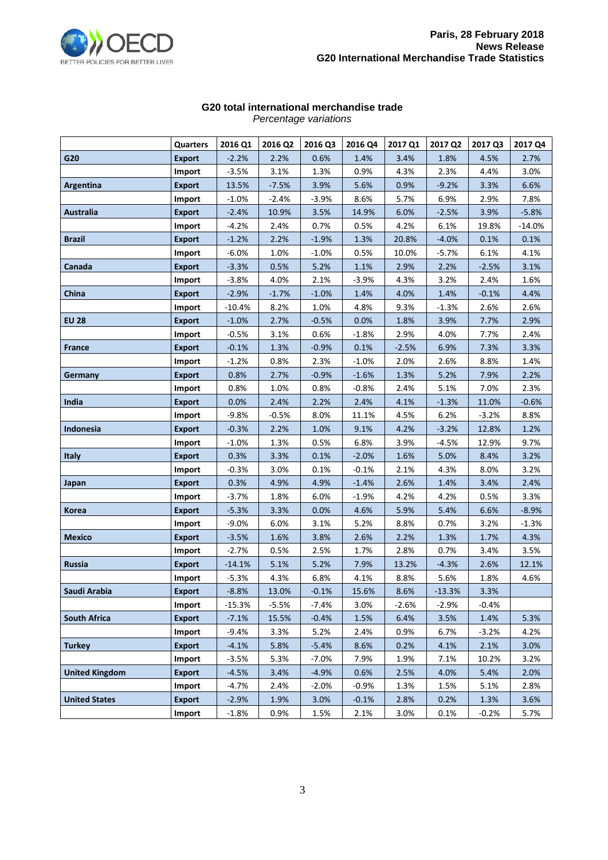

## **G20 total international merchandise trade**

| Percentage variations |  |
|-----------------------|--|
|-----------------------|--|

|                       | Quarters      | 2016 Q1  | 2016 Q2 | 2016 Q3 | 2016 Q4 | 2017 Q1 | 2017 Q2  | 2017 Q3 | 2017 Q4  |
|-----------------------|---------------|----------|---------|---------|---------|---------|----------|---------|----------|
| G20                   | <b>Export</b> | $-2.2%$  | 2.2%    | 0.6%    | 1.4%    | 3.4%    | 1.8%     | 4.5%    | 2.7%     |
|                       | Import        | $-3.5%$  | 3.1%    | 1.3%    | 0.9%    | 4.3%    | 2.3%     | 4.4%    | 3.0%     |
| Argentina             | <b>Export</b> | 13.5%    | $-7.5%$ | 3.9%    | 5.6%    | 0.9%    | $-9.2%$  | 3.3%    | 6.6%     |
|                       | Import        | $-1.0%$  | $-2.4%$ | $-3.9%$ | 8.6%    | 5.7%    | 6.9%     | 2.9%    | 7.8%     |
| Australia             | <b>Export</b> | $-2.4%$  | 10.9%   | 3.5%    | 14.9%   | 6.0%    | $-2.5%$  | 3.9%    | $-5.8%$  |
|                       | Import        | $-4.2%$  | 2.4%    | 0.7%    | 0.5%    | 4.2%    | 6.1%     | 19.8%   | $-14.0%$ |
| <b>Brazil</b>         | <b>Export</b> | $-1.2%$  | 2.2%    | $-1.9%$ | 1.3%    | 20.8%   | $-4.0%$  | 0.1%    | 0.1%     |
|                       | Import        | $-6.0%$  | 1.0%    | $-1.0%$ | 0.5%    | 10.0%   | $-5.7%$  | 6.1%    | 4.1%     |
| Canada                | <b>Export</b> | $-3.3%$  | 0.5%    | 5.2%    | 1.1%    | 2.9%    | 2.2%     | $-2.5%$ | 3.1%     |
|                       | Import        | $-3.8%$  | 4.0%    | 2.1%    | $-3.9%$ | 4.3%    | 3.2%     | 2.4%    | 1.6%     |
| China                 | <b>Export</b> | $-2.9%$  | $-1.7%$ | $-1.0%$ | 1.4%    | 4.0%    | 1.4%     | $-0.1%$ | 4.4%     |
|                       | Import        | $-10.4%$ | 8.2%    | 1.0%    | 4.8%    | 9.3%    | $-1.3%$  | 2.6%    | 2.6%     |
| <b>EU 28</b>          | <b>Export</b> | $-1.0%$  | 2.7%    | $-0.5%$ | 0.0%    | 1.8%    | 3.9%     | 7.7%    | 2.9%     |
|                       | Import        | $-0.5%$  | 3.1%    | 0.6%    | $-1.8%$ | 2.9%    | 4.0%     | 7.7%    | 2.4%     |
| <b>France</b>         | <b>Export</b> | $-0.1%$  | 1.3%    | $-0.9%$ | 0.1%    | $-2.5%$ | 6.9%     | 7.3%    | 3.3%     |
|                       | Import        | $-1.2%$  | 0.8%    | 2.3%    | $-1.0%$ | 2.0%    | 2.6%     | 8.8%    | 1.4%     |
| Germany               | <b>Export</b> | 0.8%     | 2.7%    | $-0.9%$ | $-1.6%$ | 1.3%    | 5.2%     | 7.9%    | 2.2%     |
|                       | Import        | 0.8%     | 1.0%    | 0.8%    | $-0.8%$ | 2.4%    | 5.1%     | 7.0%    | 2.3%     |
| India                 | <b>Export</b> | 0.0%     | 2.4%    | 2.2%    | 2.4%    | 4.1%    | $-1.3%$  | 11.0%   | $-0.6%$  |
|                       | Import        | $-9.8%$  | $-0.5%$ | 8.0%    | 11.1%   | 4.5%    | 6.2%     | $-3.2%$ | 8.8%     |
| Indonesia             | <b>Export</b> | $-0.3%$  | 2.2%    | 1.0%    | 9.1%    | 4.2%    | $-3.2%$  | 12.8%   | 1.2%     |
|                       | Import        | $-1.0%$  | 1.3%    | 0.5%    | 6.8%    | 3.9%    | $-4.5%$  | 12.9%   | 9.7%     |
| <b>Italy</b>          | <b>Export</b> | 0.3%     | 3.3%    | 0.1%    | $-2.0%$ | 1.6%    | 5.0%     | 8.4%    | 3.2%     |
|                       | Import        | $-0.3%$  | 3.0%    | 0.1%    | $-0.1%$ | 2.1%    | 4.3%     | 8.0%    | 3.2%     |
| Japan                 | <b>Export</b> | 0.3%     | 4.9%    | 4.9%    | $-1.4%$ | 2.6%    | 1.4%     | 3.4%    | 2.4%     |
|                       | Import        | $-3.7%$  | 1.8%    | 6.0%    | $-1.9%$ | 4.2%    | 4.2%     | 0.5%    | 3.3%     |
| Korea                 | <b>Export</b> | $-5.3%$  | 3.3%    | 0.0%    | 4.6%    | 5.9%    | 5.4%     | 6.6%    | $-8.9%$  |
|                       | Import        | $-9.0%$  | 6.0%    | 3.1%    | 5.2%    | 8.8%    | 0.7%     | 3.2%    | $-1.3%$  |
| <b>Mexico</b>         | <b>Export</b> | $-3.5%$  | 1.6%    | 3.8%    | 2.6%    | 2.2%    | 1.3%     | 1.7%    | 4.3%     |
|                       | Import        | $-2.7%$  | 0.5%    | 2.5%    | 1.7%    | 2.8%    | 0.7%     | 3.4%    | 3.5%     |
| Russia                | <b>Export</b> | $-14.1%$ | 5.1%    | 5.2%    | 7.9%    | 13.2%   | $-4.3%$  | 2.6%    | 12.1%    |
|                       | Import        | $-5.3%$  | 4.3%    | 6.8%    | 4.1%    | 8.8%    | 5.6%     | 1.8%    | 4.6%     |
| Saudi Arabia          | <b>Export</b> | $-8.8%$  | 13.0%   | $-0.1%$ | 15.6%   | 8.6%    | $-13.3%$ | 3.3%    |          |
|                       | Import        | $-15.3%$ | $-5.5%$ | $-7.4%$ | 3.0%    | $-2.6%$ | $-2.9%$  | $-0.4%$ |          |
| <b>South Africa</b>   | <b>Export</b> | $-7.1%$  | 15.5%   | $-0.4%$ | 1.5%    | 6.4%    | 3.5%     | 1.4%    | 5.3%     |
|                       | Import        | $-9.4%$  | 3.3%    | 5.2%    | 2.4%    | 0.9%    | 6.7%     | $-3.2%$ | 4.2%     |
| <b>Turkey</b>         | <b>Export</b> | $-4.1%$  | 5.8%    | $-5.4%$ | 8.6%    | 0.2%    | 4.1%     | 2.1%    | 3.0%     |
|                       | Import        | $-3.5%$  | 5.3%    | $-7.0%$ | 7.9%    | 1.9%    | 7.1%     | 10.2%   | 3.2%     |
| <b>United Kingdom</b> | <b>Export</b> | $-4.5%$  | 3.4%    | $-4.9%$ | 0.6%    | 2.5%    | 4.0%     | 5.4%    | 2.0%     |
|                       | Import        | $-4.7%$  | 2.4%    | $-2.0%$ | $-0.9%$ | 1.3%    | 1.5%     | 5.1%    | 2.8%     |
| <b>United States</b>  | <b>Export</b> | $-2.9%$  | 1.9%    | 3.0%    | $-0.1%$ | 2.8%    | 0.2%     | 1.3%    | 3.6%     |
|                       | Import        | $-1.8%$  | 0.9%    | 1.5%    | 2.1%    | 3.0%    | 0.1%     | $-0.2%$ | 5.7%     |